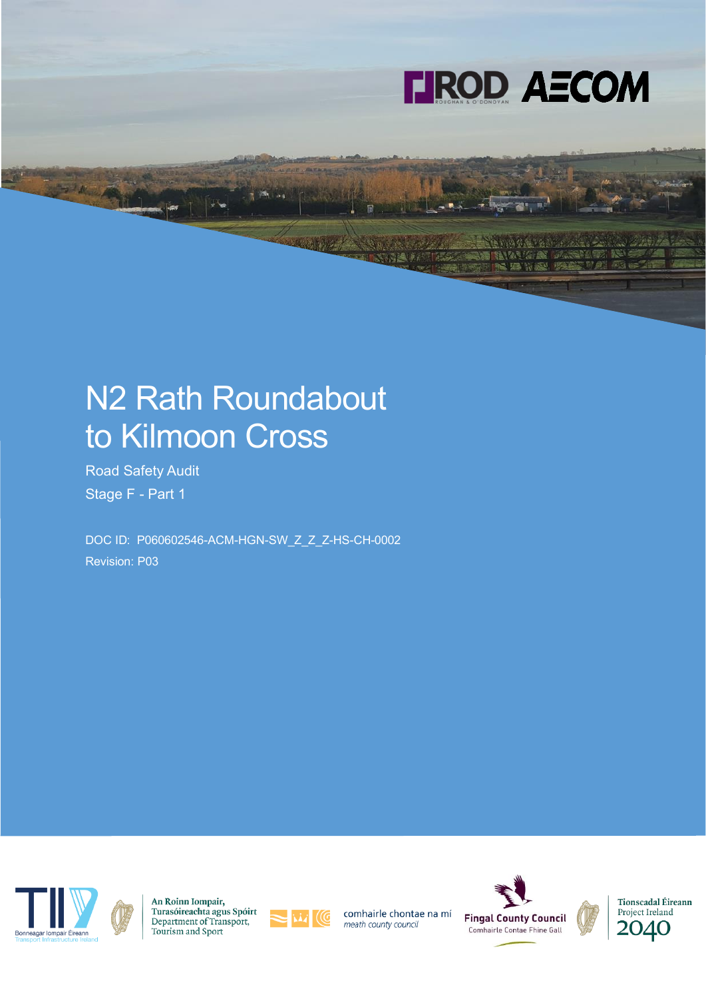

# N2 Rath Roundabout to Kilmoon Cross

Road Safety Audit Stage F - Part 1

DOC ID: P060602546-ACM-HGN-SW\_Z\_Z\_Z-HS-CH-0002 Revision: P03



An Roinn Iompair, Turasóireachta agus Spóirt Department of Transport, Tourism and Sport



comhairle chontae na mí meath county council



Tionscadal Éireann Project Ireland 2040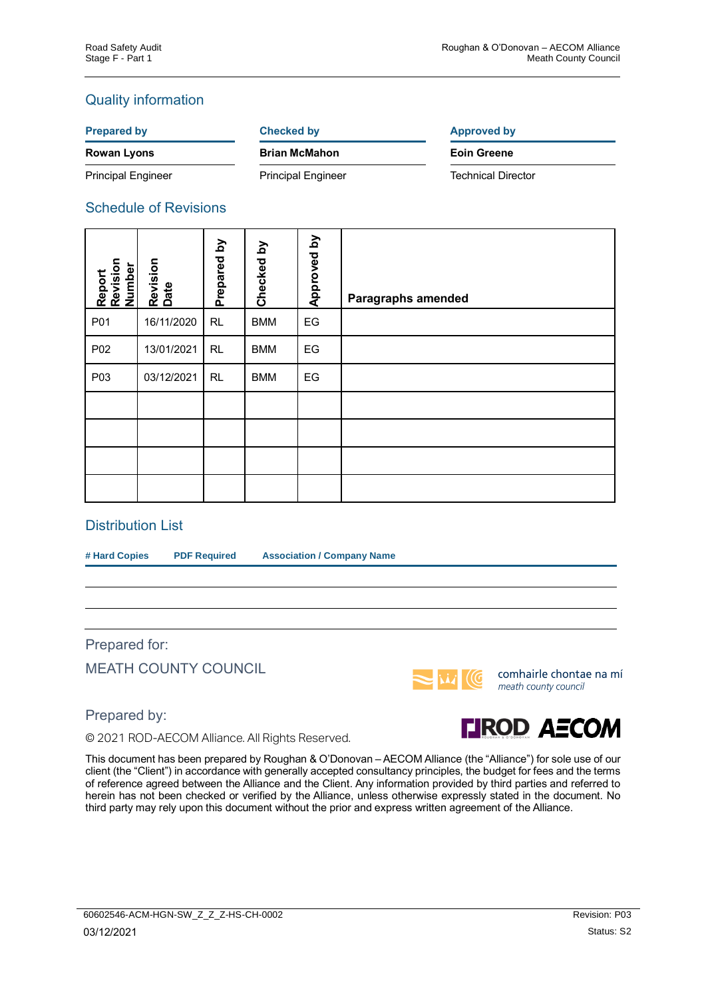### Quality information

**Prepared by Checked by Checked by Approved by** 

**Rowan Lyons Brian McMahon Eoin Greene**

Principal Engineer **Principal Engineer** Principal Engineer **Technical Director** 

#### Schedule of Revisions

| Report<br>Revision<br>Number | Revision<br>Date | Prepared by | $\mathbf{\Sigma}$<br>Checked | $\mathbf{\Sigma}$<br>Approved | Paragraphs amended |
|------------------------------|------------------|-------------|------------------------------|-------------------------------|--------------------|
| P01                          | 16/11/2020       | RL          | <b>BMM</b>                   | EG                            |                    |
| P02                          | 13/01/2021       | <b>RL</b>   | <b>BMM</b>                   | EG                            |                    |
| P03                          | 03/12/2021       | RL          | <b>BMM</b>                   | EG                            |                    |
|                              |                  |             |                              |                               |                    |
|                              |                  |             |                              |                               |                    |
|                              |                  |             |                              |                               |                    |
|                              |                  |             |                              |                               |                    |

#### Distribution List

**# Hard Copies PDF Required Association / Company Name**

Prepared for:

MEATH COUNTY COUNCIL



© 2021 ROD-AECOM Alliance. All Rights Reserved.



comhairle chontae na mí meath county council



This document has been prepared by Roughan & O'Donovan – AECOM Alliance (the "Alliance") for sole use of our client (the "Client") in accordance with generally accepted consultancy principles, the budget for fees and the terms of reference agreed between the Alliance and the Client. Any information provided by third parties and referred to herein has not been checked or verified by the Alliance, unless otherwise expressly stated in the document. No third party may rely upon this document without the prior and express written agreement of the Alliance.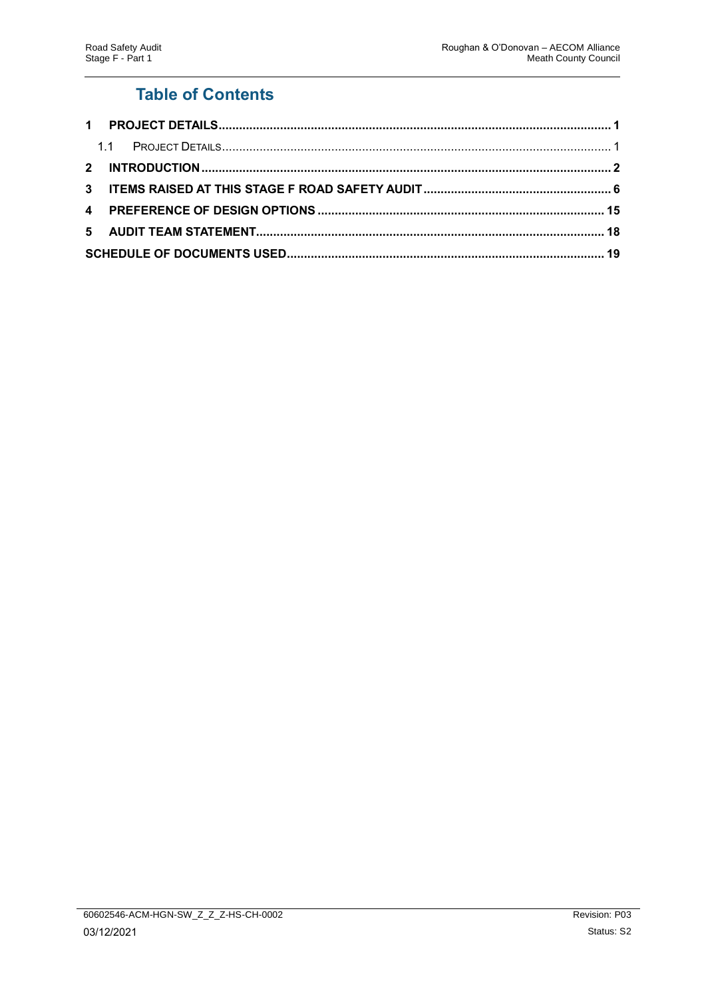### **Table of Contents**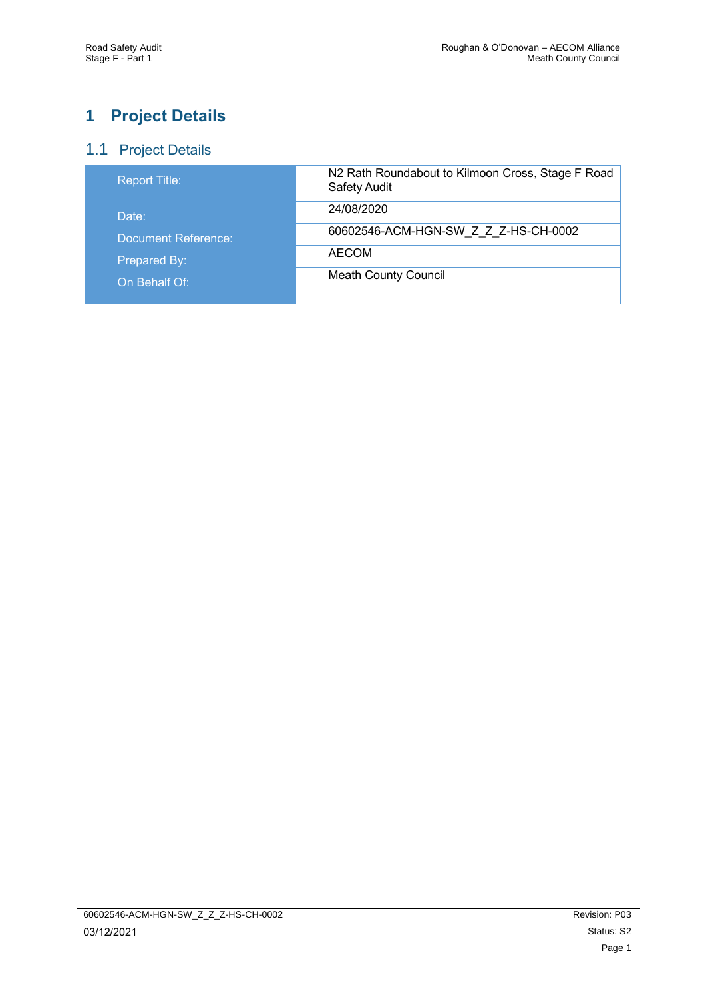## <span id="page-3-0"></span>**1 Project Details**

### <span id="page-3-1"></span>1.1 Project Details

| N2 Rath Roundabout to Kilmoon Cross, Stage F Road<br><b>Safety Audit</b> |
|--------------------------------------------------------------------------|
| 24/08/2020                                                               |
| 60602546-ACM-HGN-SW Z Z Z-HS-CH-0002                                     |
| AECOM                                                                    |
| <b>Meath County Council</b>                                              |
|                                                                          |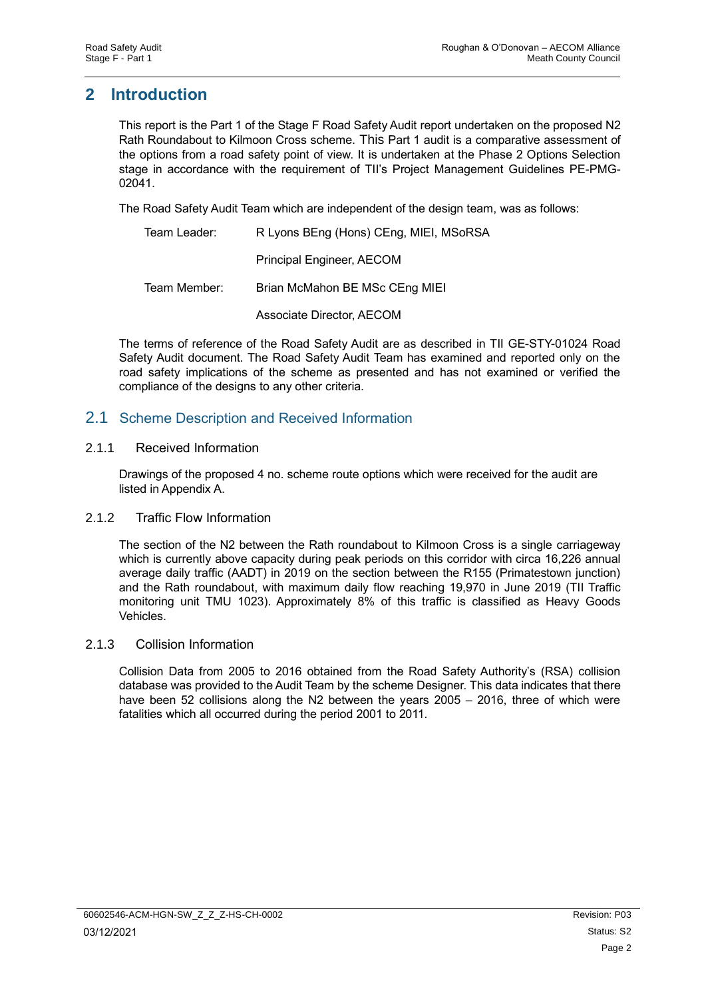### <span id="page-4-0"></span>**2 Introduction**

This report is the Part 1 of the Stage F Road Safety Audit report undertaken on the proposed N2 Rath Roundabout to Kilmoon Cross scheme. This Part 1 audit is a comparative assessment of the options from a road safety point of view. It is undertaken at the Phase 2 Options Selection stage in accordance with the requirement of TII's Project Management Guidelines PE-PMG-02041.

The Road Safety Audit Team which are independent of the design team, was as follows:

| Team Leader: | R Lyons BEng (Hons) CEng, MIEI, MSoRSA |  |  |
|--------------|----------------------------------------|--|--|
|              | Principal Engineer, AECOM              |  |  |
| Team Member: | Brian McMahon BE MSc CEng MIEI         |  |  |

Associate Director, AECOM

The terms of reference of the Road Safety Audit are as described in TII GE-STY-01024 Road Safety Audit document. The Road Safety Audit Team has examined and reported only on the road safety implications of the scheme as presented and has not examined or verified the compliance of the designs to any other criteria.

#### 2.1 Scheme Description and Received Information

#### 2.1.1 Received Information

Drawings of the proposed 4 no. scheme route options which were received for the audit are listed in Appendix A.

#### 2.1.2 Traffic Flow Information

The section of the N2 between the Rath roundabout to Kilmoon Cross is a single carriageway which is currently above capacity during peak periods on this corridor with circa 16,226 annual average daily traffic (AADT) in 2019 on the section between the R155 (Primatestown junction) and the Rath roundabout, with maximum daily flow reaching 19,970 in June 2019 (TII Traffic monitoring unit TMU 1023). Approximately 8% of this traffic is classified as Heavy Goods Vehicles.

#### 2.1.3 Collision Information

Collision Data from 2005 to 2016 obtained from the Road Safety Authority's (RSA) collision database was provided to the Audit Team by the scheme Designer. This data indicates that there have been 52 collisions along the N2 between the years 2005 – 2016, three of which were fatalities which all occurred during the period 2001 to 2011*.*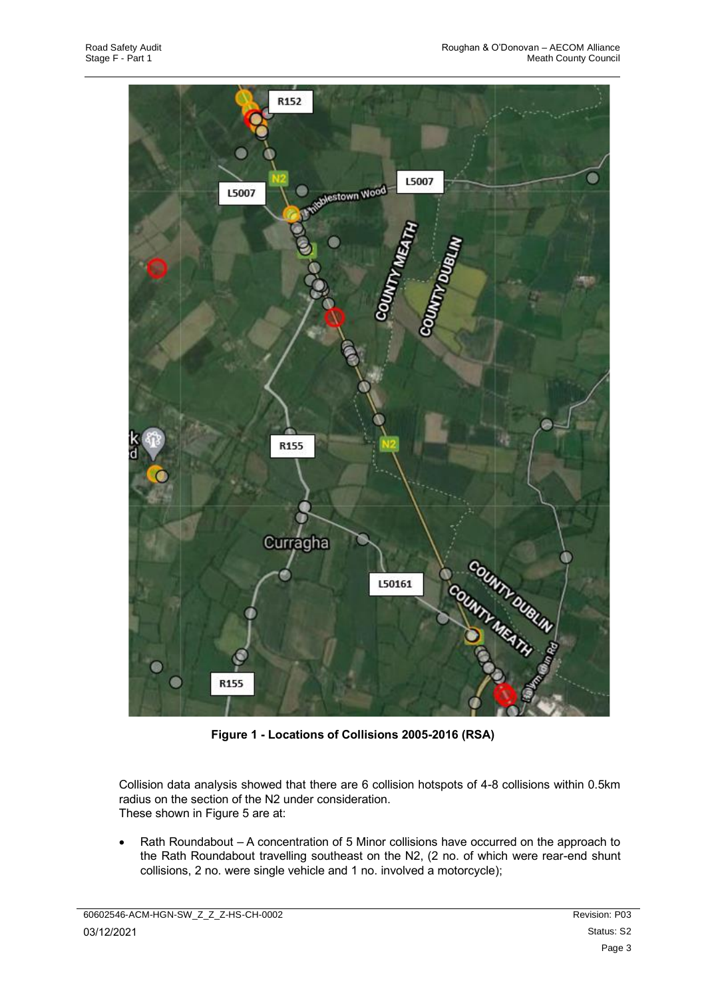

**Figure 1 - Locations of Collisions 2005-2016 (RSA)**

Collision data analysis showed that there are 6 collision hotspots of 4-8 collisions within 0.5km radius on the section of the N2 under consideration. These shown in Figure 5 are at:

• Rath Roundabout – A concentration of 5 Minor collisions have occurred on the approach to the Rath Roundabout travelling southeast on the N2, (2 no. of which were rear-end shunt collisions, 2 no. were single vehicle and 1 no. involved a motorcycle);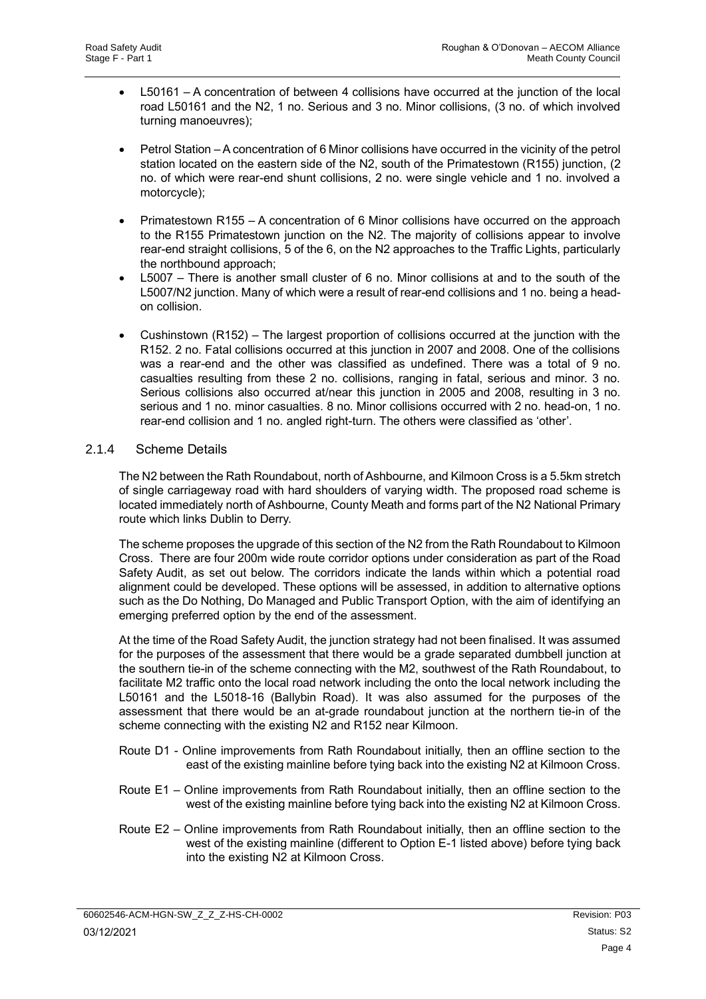- L50161 A concentration of between 4 collisions have occurred at the junction of the local road L50161 and the N2, 1 no. Serious and 3 no. Minor collisions, (3 no. of which involved turning manoeuvres);
- Petrol Station –A concentration of 6 Minor collisions have occurred in the vicinity of the petrol station located on the eastern side of the N2, south of the Primatestown (R155) junction, (2 no. of which were rear-end shunt collisions, 2 no. were single vehicle and 1 no. involved a motorcycle);
- Primatestown R155 A concentration of 6 Minor collisions have occurred on the approach to the R155 Primatestown junction on the N2. The majority of collisions appear to involve rear-end straight collisions, 5 of the 6, on the N2 approaches to the Traffic Lights, particularly the northbound approach;
- L5007 There is another small cluster of 6 no. Minor collisions at and to the south of the L5007/N2 junction. Many of which were a result of rear-end collisions and 1 no. being a headon collision.
- Cushinstown (R152) The largest proportion of collisions occurred at the junction with the R152. 2 no. Fatal collisions occurred at this junction in 2007 and 2008. One of the collisions was a rear-end and the other was classified as undefined. There was a total of 9 no. casualties resulting from these 2 no. collisions, ranging in fatal, serious and minor. 3 no. Serious collisions also occurred at/near this junction in 2005 and 2008, resulting in 3 no. serious and 1 no. minor casualties. 8 no. Minor collisions occurred with 2 no. head-on, 1 no. rear-end collision and 1 no. angled right-turn. The others were classified as 'other'.

#### 2.1.4 Scheme Details

The N2 between the Rath Roundabout, north of Ashbourne, and Kilmoon Cross is a 5.5km stretch of single carriageway road with hard shoulders of varying width. The proposed road scheme is located immediately north of Ashbourne, County Meath and forms part of the N2 National Primary route which links Dublin to Derry.

The scheme proposes the upgrade of this section of the N2 from the Rath Roundabout to Kilmoon Cross. There are four 200m wide route corridor options under consideration as part of the Road Safety Audit, as set out below. The corridors indicate the lands within which a potential road alignment could be developed. These options will be assessed, in addition to alternative options such as the Do Nothing, Do Managed and Public Transport Option, with the aim of identifying an emerging preferred option by the end of the assessment.

At the time of the Road Safety Audit, the junction strategy had not been finalised. It was assumed for the purposes of the assessment that there would be a grade separated dumbbell junction at the southern tie-in of the scheme connecting with the M2, southwest of the Rath Roundabout, to facilitate M2 traffic onto the local road network including the onto the local network including the L50161 and the L5018-16 (Ballybin Road). It was also assumed for the purposes of the assessment that there would be an at-grade roundabout junction at the northern tie-in of the scheme connecting with the existing N2 and R152 near Kilmoon.

- Route D1 Online improvements from Rath Roundabout initially, then an offline section to the east of the existing mainline before tying back into the existing N2 at Kilmoon Cross.
- Route E1 Online improvements from Rath Roundabout initially, then an offline section to the west of the existing mainline before tying back into the existing N2 at Kilmoon Cross.
- Route E2 Online improvements from Rath Roundabout initially, then an offline section to the west of the existing mainline (different to Option E-1 listed above) before tying back into the existing N2 at Kilmoon Cross.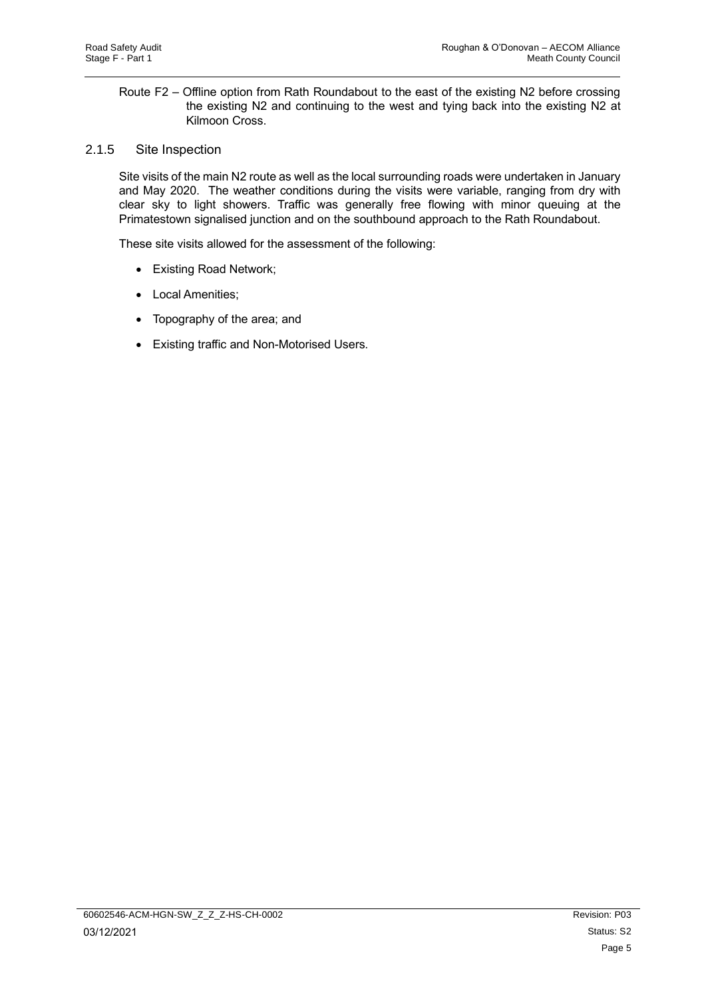Route F2 – Offline option from Rath Roundabout to the east of the existing N2 before crossing the existing N2 and continuing to the west and tying back into the existing N2 at Kilmoon Cross.

#### 2.1.5 Site Inspection

Site visits of the main N2 route as well as the local surrounding roads were undertaken in January and May 2020. The weather conditions during the visits were variable, ranging from dry with clear sky to light showers. Traffic was generally free flowing with minor queuing at the Primatestown signalised junction and on the southbound approach to the Rath Roundabout.

These site visits allowed for the assessment of the following:

- Existing Road Network;
- Local Amenities;
- Topography of the area; and
- Existing traffic and Non-Motorised Users.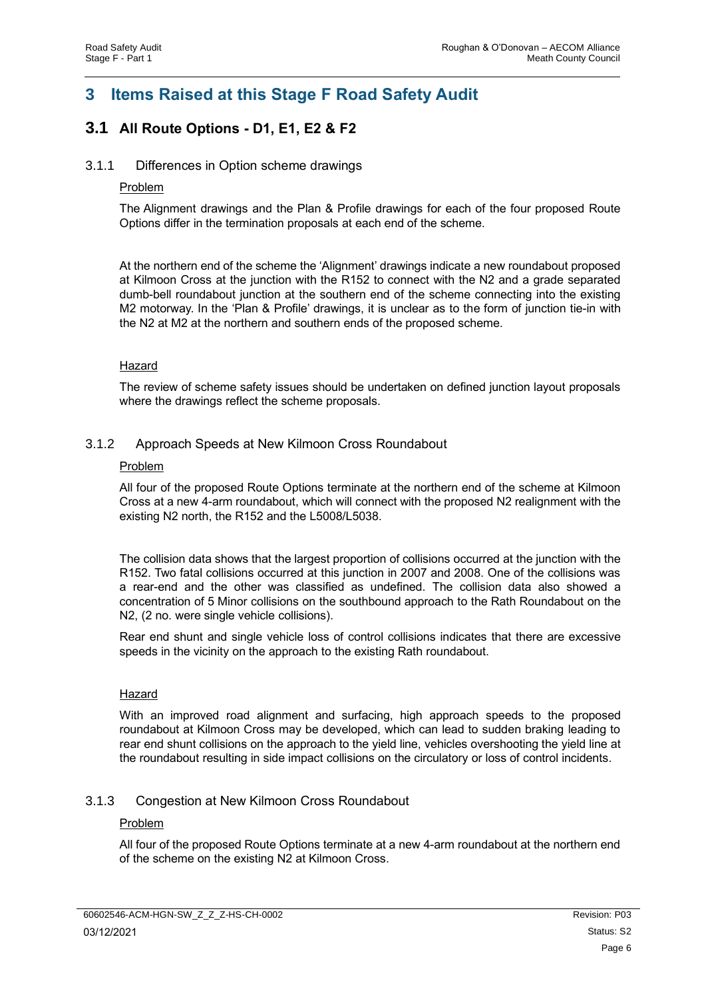### <span id="page-8-0"></span>**3 Items Raised at this Stage F Road Safety Audit**

### **3.1 All Route Options - D1, E1, E2 & F2**

#### 3.1.1 Differences in Option scheme drawings

#### **Problem**

The Alignment drawings and the Plan & Profile drawings for each of the four proposed Route Options differ in the termination proposals at each end of the scheme.

At the northern end of the scheme the 'Alignment' drawings indicate a new roundabout proposed at Kilmoon Cross at the junction with the R152 to connect with the N2 and a grade separated dumb-bell roundabout junction at the southern end of the scheme connecting into the existing M2 motorway. In the 'Plan & Profile' drawings, it is unclear as to the form of junction tie-in with the N2 at M2 at the northern and southern ends of the proposed scheme.

#### Hazard

The review of scheme safety issues should be undertaken on defined junction layout proposals where the drawings reflect the scheme proposals.

#### 3.1.2 Approach Speeds at New Kilmoon Cross Roundabout

#### Problem

All four of the proposed Route Options terminate at the northern end of the scheme at Kilmoon Cross at a new 4-arm roundabout, which will connect with the proposed N2 realignment with the existing N2 north, the R152 and the L5008/L5038.

The collision data shows that the largest proportion of collisions occurred at the junction with the R152. Two fatal collisions occurred at this junction in 2007 and 2008. One of the collisions was a rear-end and the other was classified as undefined. The collision data also showed a concentration of 5 Minor collisions on the southbound approach to the Rath Roundabout on the N2, (2 no. were single vehicle collisions).

Rear end shunt and single vehicle loss of control collisions indicates that there are excessive speeds in the vicinity on the approach to the existing Rath roundabout.

#### **Hazard**

With an improved road alignment and surfacing, high approach speeds to the proposed roundabout at Kilmoon Cross may be developed, which can lead to sudden braking leading to rear end shunt collisions on the approach to the yield line, vehicles overshooting the yield line at the roundabout resulting in side impact collisions on the circulatory or loss of control incidents.

#### 3.1.3 Congestion at New Kilmoon Cross Roundabout

#### **Problem**

All four of the proposed Route Options terminate at a new 4-arm roundabout at the northern end of the scheme on the existing N2 at Kilmoon Cross.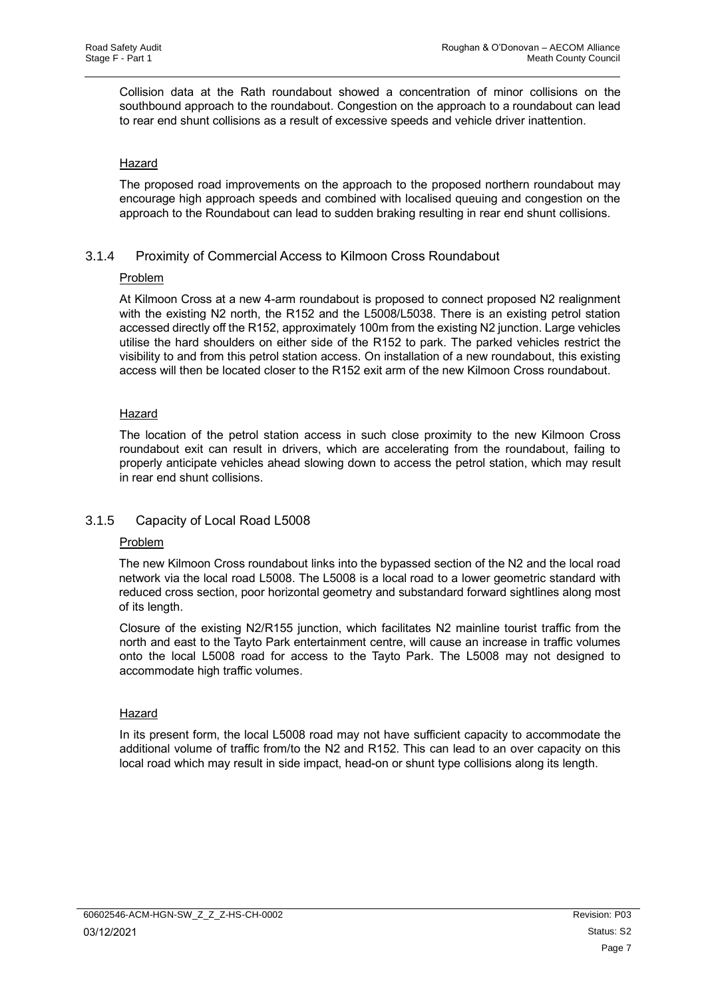Collision data at the Rath roundabout showed a concentration of minor collisions on the southbound approach to the roundabout. Congestion on the approach to a roundabout can lead to rear end shunt collisions as a result of excessive speeds and vehicle driver inattention.

#### Hazard

The proposed road improvements on the approach to the proposed northern roundabout may encourage high approach speeds and combined with localised queuing and congestion on the approach to the Roundabout can lead to sudden braking resulting in rear end shunt collisions.

#### 3.1.4 Proximity of Commercial Access to Kilmoon Cross Roundabout

#### Problem

At Kilmoon Cross at a new 4-arm roundabout is proposed to connect proposed N2 realignment with the existing N2 north, the R152 and the L5008/L5038. There is an existing petrol station accessed directly off the R152, approximately 100m from the existing N2 junction. Large vehicles utilise the hard shoulders on either side of the R152 to park. The parked vehicles restrict the visibility to and from this petrol station access. On installation of a new roundabout, this existing access will then be located closer to the R152 exit arm of the new Kilmoon Cross roundabout.

#### Hazard

The location of the petrol station access in such close proximity to the new Kilmoon Cross roundabout exit can result in drivers, which are accelerating from the roundabout, failing to properly anticipate vehicles ahead slowing down to access the petrol station, which may result in rear end shunt collisions.

#### 3.1.5 Capacity of Local Road L5008

#### Problem

The new Kilmoon Cross roundabout links into the bypassed section of the N2 and the local road network via the local road L5008. The L5008 is a local road to a lower geometric standard with reduced cross section, poor horizontal geometry and substandard forward sightlines along most of its length.

Closure of the existing N2/R155 junction, which facilitates N2 mainline tourist traffic from the north and east to the Tayto Park entertainment centre, will cause an increase in traffic volumes onto the local L5008 road for access to the Tayto Park. The L5008 may not designed to accommodate high traffic volumes.

#### Hazard

In its present form, the local L5008 road may not have sufficient capacity to accommodate the additional volume of traffic from/to the N2 and R152. This can lead to an over capacity on this local road which may result in side impact, head-on or shunt type collisions along its length.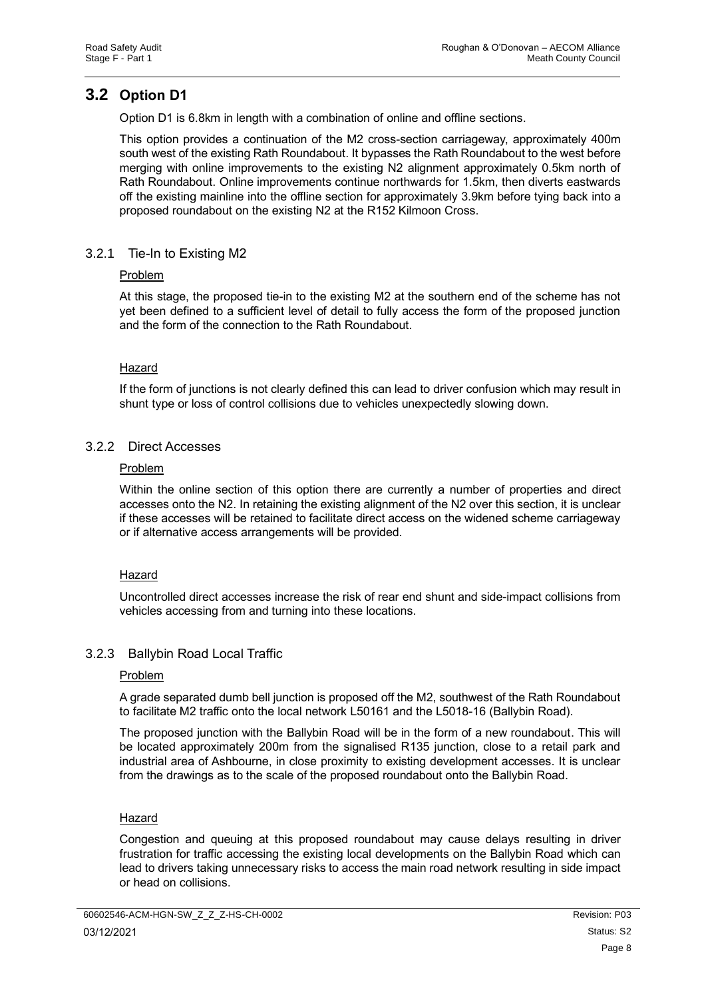### **3.2 Option D1**

Option D1 is 6.8km in length with a combination of online and offline sections.

This option provides a continuation of the M2 cross-section carriageway, approximately 400m south west of the existing Rath Roundabout. It bypasses the Rath Roundabout to the west before merging with online improvements to the existing N2 alignment approximately 0.5km north of Rath Roundabout. Online improvements continue northwards for 1.5km, then diverts eastwards off the existing mainline into the offline section for approximately 3.9km before tying back into a proposed roundabout on the existing N2 at the R152 Kilmoon Cross.

#### 3.2.1 Tie-In to Existing M2

#### Problem

At this stage, the proposed tie-in to the existing M2 at the southern end of the scheme has not yet been defined to a sufficient level of detail to fully access the form of the proposed junction and the form of the connection to the Rath Roundabout.

#### Hazard

If the form of junctions is not clearly defined this can lead to driver confusion which may result in shunt type or loss of control collisions due to vehicles unexpectedly slowing down.

#### 3.2.2 Direct Accesses

#### Problem

Within the online section of this option there are currently a number of properties and direct accesses onto the N2. In retaining the existing alignment of the N2 over this section, it is unclear if these accesses will be retained to facilitate direct access on the widened scheme carriageway or if alternative access arrangements will be provided.

#### Hazard

Uncontrolled direct accesses increase the risk of rear end shunt and side-impact collisions from vehicles accessing from and turning into these locations.

#### 3.2.3 Ballybin Road Local Traffic

#### Problem

A grade separated dumb bell junction is proposed off the M2, southwest of the Rath Roundabout to facilitate M2 traffic onto the local network L50161 and the L5018-16 (Ballybin Road).

The proposed junction with the Ballybin Road will be in the form of a new roundabout. This will be located approximately 200m from the signalised R135 junction, close to a retail park and industrial area of Ashbourne, in close proximity to existing development accesses. It is unclear from the drawings as to the scale of the proposed roundabout onto the Ballybin Road.

#### Hazard

Congestion and queuing at this proposed roundabout may cause delays resulting in driver frustration for traffic accessing the existing local developments on the Ballybin Road which can lead to drivers taking unnecessary risks to access the main road network resulting in side impact or head on collisions.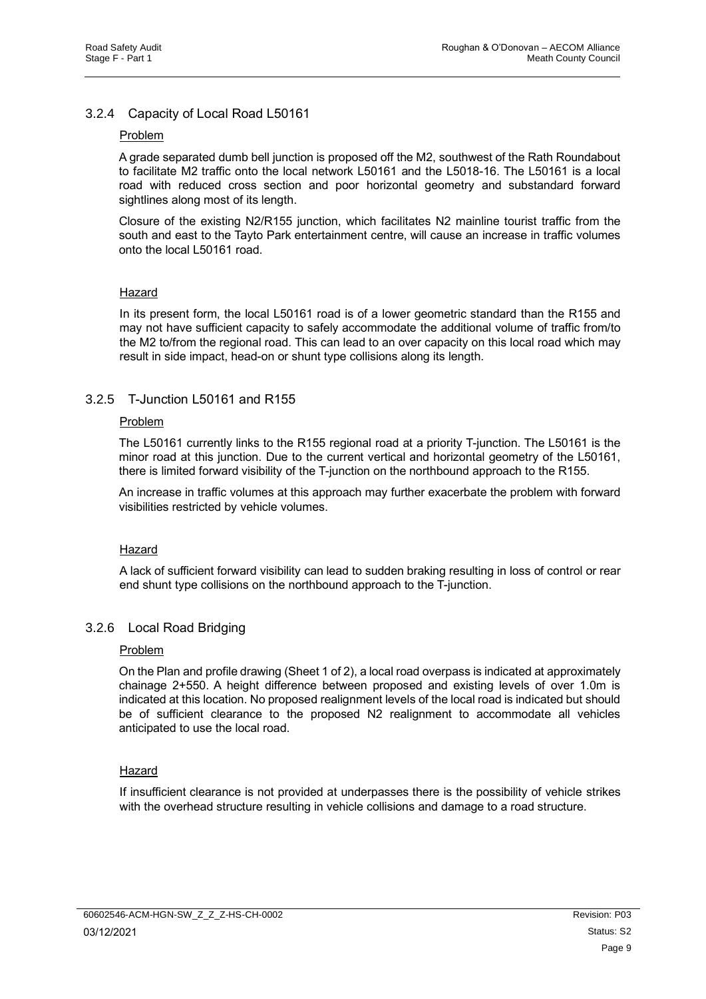#### 3.2.4 Capacity of Local Road L50161

#### Problem

A grade separated dumb bell junction is proposed off the M2, southwest of the Rath Roundabout to facilitate M2 traffic onto the local network L50161 and the L5018-16. The L50161 is a local road with reduced cross section and poor horizontal geometry and substandard forward sightlines along most of its length.

Closure of the existing N2/R155 junction, which facilitates N2 mainline tourist traffic from the south and east to the Tayto Park entertainment centre, will cause an increase in traffic volumes onto the local L50161 road.

#### Hazard

In its present form, the local L50161 road is of a lower geometric standard than the R155 and may not have sufficient capacity to safely accommodate the additional volume of traffic from/to the M2 to/from the regional road. This can lead to an over capacity on this local road which may result in side impact, head-on or shunt type collisions along its length.

#### 3.2.5 T-Junction L50161 and R155

#### Problem

The L50161 currently links to the R155 regional road at a priority T-junction. The L50161 is the minor road at this junction. Due to the current vertical and horizontal geometry of the L50161, there is limited forward visibility of the T-junction on the northbound approach to the R155.

An increase in traffic volumes at this approach may further exacerbate the problem with forward visibilities restricted by vehicle volumes.

#### **Hazard**

A lack of sufficient forward visibility can lead to sudden braking resulting in loss of control or rear end shunt type collisions on the northbound approach to the T-junction.

#### 3.2.6 Local Road Bridging

#### Problem

On the Plan and profile drawing (Sheet 1 of 2), a local road overpass is indicated at approximately chainage 2+550. A height difference between proposed and existing levels of over 1.0m is indicated at this location. No proposed realignment levels of the local road is indicated but should be of sufficient clearance to the proposed N2 realignment to accommodate all vehicles anticipated to use the local road.

#### Hazard

If insufficient clearance is not provided at underpasses there is the possibility of vehicle strikes with the overhead structure resulting in vehicle collisions and damage to a road structure.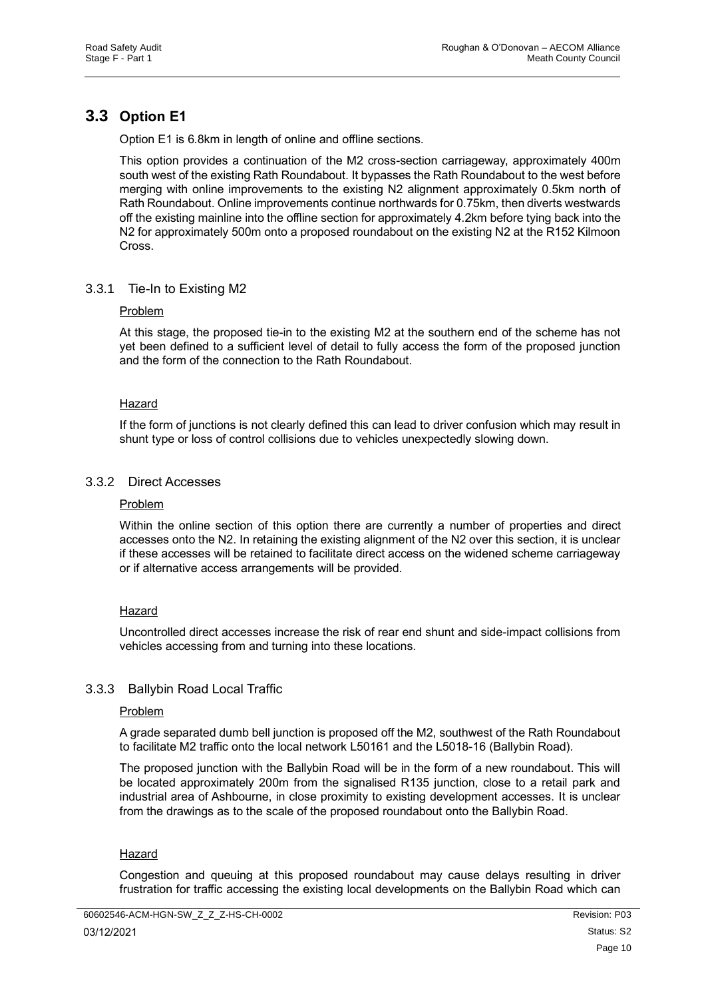### **3.3 Option E1**

Option E1 is 6.8km in length of online and offline sections.

This option provides a continuation of the M2 cross-section carriageway, approximately 400m south west of the existing Rath Roundabout. It bypasses the Rath Roundabout to the west before merging with online improvements to the existing N2 alignment approximately 0.5km north of Rath Roundabout. Online improvements continue northwards for 0.75km, then diverts westwards off the existing mainline into the offline section for approximately 4.2km before tying back into the N2 for approximately 500m onto a proposed roundabout on the existing N2 at the R152 Kilmoon Cross.

#### 3.3.1 Tie-In to Existing M2

#### Problem

At this stage, the proposed tie-in to the existing M2 at the southern end of the scheme has not yet been defined to a sufficient level of detail to fully access the form of the proposed junction and the form of the connection to the Rath Roundabout.

#### Hazard

If the form of junctions is not clearly defined this can lead to driver confusion which may result in shunt type or loss of control collisions due to vehicles unexpectedly slowing down.

#### 3.3.2 Direct Accesses

#### Problem

Within the online section of this option there are currently a number of properties and direct accesses onto the N2. In retaining the existing alignment of the N2 over this section, it is unclear if these accesses will be retained to facilitate direct access on the widened scheme carriageway or if alternative access arrangements will be provided.

#### Hazard

Uncontrolled direct accesses increase the risk of rear end shunt and side-impact collisions from vehicles accessing from and turning into these locations.

#### 3.3.3 Ballybin Road Local Traffic

#### Problem

A grade separated dumb bell junction is proposed off the M2, southwest of the Rath Roundabout to facilitate M2 traffic onto the local network L50161 and the L5018-16 (Ballybin Road).

The proposed junction with the Ballybin Road will be in the form of a new roundabout. This will be located approximately 200m from the signalised R135 junction, close to a retail park and industrial area of Ashbourne, in close proximity to existing development accesses. It is unclear from the drawings as to the scale of the proposed roundabout onto the Ballybin Road.

#### Hazard

Congestion and queuing at this proposed roundabout may cause delays resulting in driver frustration for traffic accessing the existing local developments on the Ballybin Road which can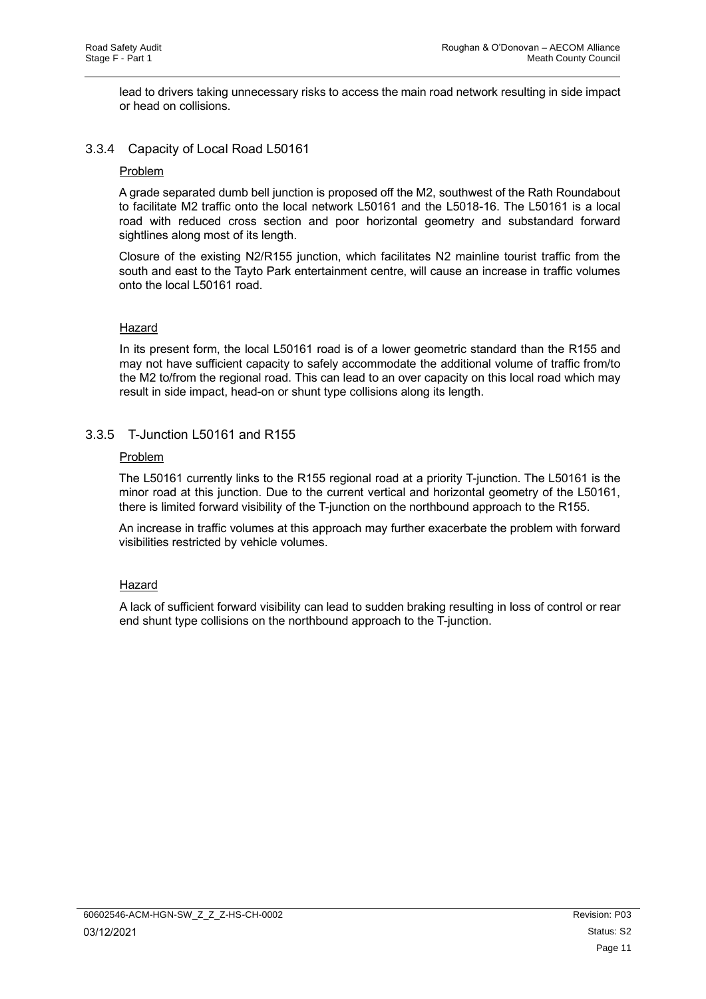lead to drivers taking unnecessary risks to access the main road network resulting in side impact or head on collisions.

#### 3.3.4 Capacity of Local Road L50161

#### Problem

A grade separated dumb bell junction is proposed off the M2, southwest of the Rath Roundabout to facilitate M2 traffic onto the local network L50161 and the L5018-16. The L50161 is a local road with reduced cross section and poor horizontal geometry and substandard forward sightlines along most of its length.

Closure of the existing N2/R155 junction, which facilitates N2 mainline tourist traffic from the south and east to the Tayto Park entertainment centre, will cause an increase in traffic volumes onto the local L50161 road.

#### Hazard

In its present form, the local L50161 road is of a lower geometric standard than the R155 and may not have sufficient capacity to safely accommodate the additional volume of traffic from/to the M2 to/from the regional road. This can lead to an over capacity on this local road which may result in side impact, head-on or shunt type collisions along its length.

#### 3.3.5 T-Junction L50161 and R155

#### **Problem**

The L50161 currently links to the R155 regional road at a priority T-junction. The L50161 is the minor road at this junction. Due to the current vertical and horizontal geometry of the L50161, there is limited forward visibility of the T-junction on the northbound approach to the R155.

An increase in traffic volumes at this approach may further exacerbate the problem with forward visibilities restricted by vehicle volumes.

#### Hazard

A lack of sufficient forward visibility can lead to sudden braking resulting in loss of control or rear end shunt type collisions on the northbound approach to the T-junction.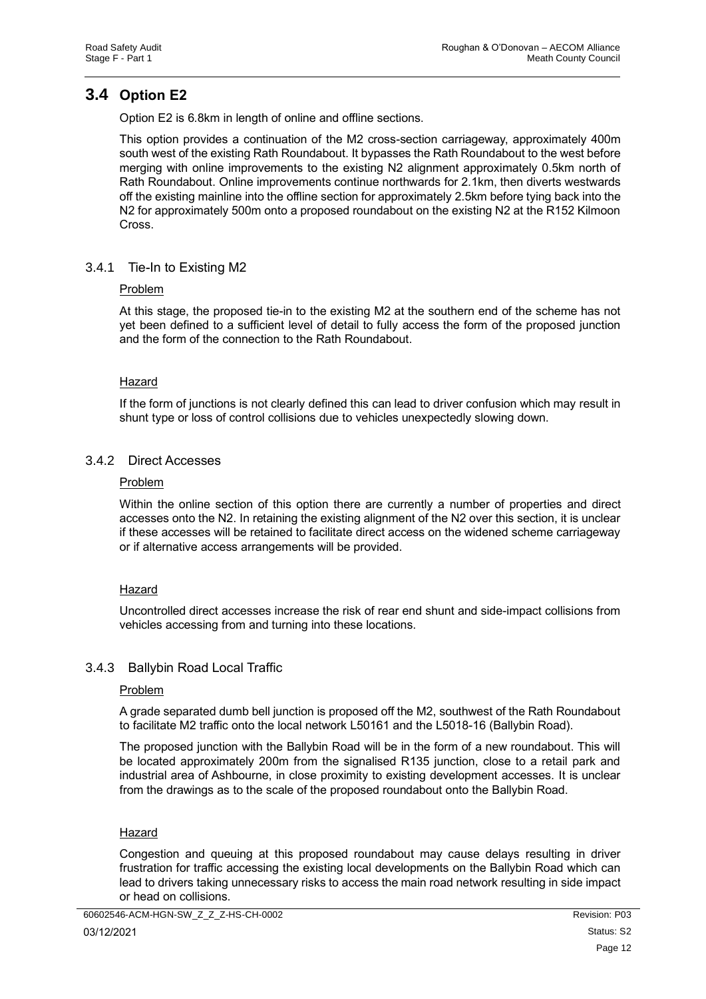### **3.4 Option E2**

Option E2 is 6.8km in length of online and offline sections.

This option provides a continuation of the M2 cross-section carriageway, approximately 400m south west of the existing Rath Roundabout. It bypasses the Rath Roundabout to the west before merging with online improvements to the existing N2 alignment approximately 0.5km north of Rath Roundabout. Online improvements continue northwards for 2.1km, then diverts westwards off the existing mainline into the offline section for approximately 2.5km before tying back into the N2 for approximately 500m onto a proposed roundabout on the existing N2 at the R152 Kilmoon Cross.

#### 3.4.1 Tie-In to Existing M2

#### Problem

At this stage, the proposed tie-in to the existing M2 at the southern end of the scheme has not yet been defined to a sufficient level of detail to fully access the form of the proposed junction and the form of the connection to the Rath Roundabout.

#### **Hazard**

If the form of junctions is not clearly defined this can lead to driver confusion which may result in shunt type or loss of control collisions due to vehicles unexpectedly slowing down.

#### 3.4.2 Direct Accesses

#### **Problem**

Within the online section of this option there are currently a number of properties and direct accesses onto the N2. In retaining the existing alignment of the N2 over this section, it is unclear if these accesses will be retained to facilitate direct access on the widened scheme carriageway or if alternative access arrangements will be provided.

#### Hazard

Uncontrolled direct accesses increase the risk of rear end shunt and side-impact collisions from vehicles accessing from and turning into these locations.

#### 3.4.3 Ballybin Road Local Traffic

#### Problem

A grade separated dumb bell junction is proposed off the M2, southwest of the Rath Roundabout to facilitate M2 traffic onto the local network L50161 and the L5018-16 (Ballybin Road).

The proposed junction with the Ballybin Road will be in the form of a new roundabout. This will be located approximately 200m from the signalised R135 junction, close to a retail park and industrial area of Ashbourne, in close proximity to existing development accesses. It is unclear from the drawings as to the scale of the proposed roundabout onto the Ballybin Road.

#### Hazard

Congestion and queuing at this proposed roundabout may cause delays resulting in driver frustration for traffic accessing the existing local developments on the Ballybin Road which can lead to drivers taking unnecessary risks to access the main road network resulting in side impact or head on collisions.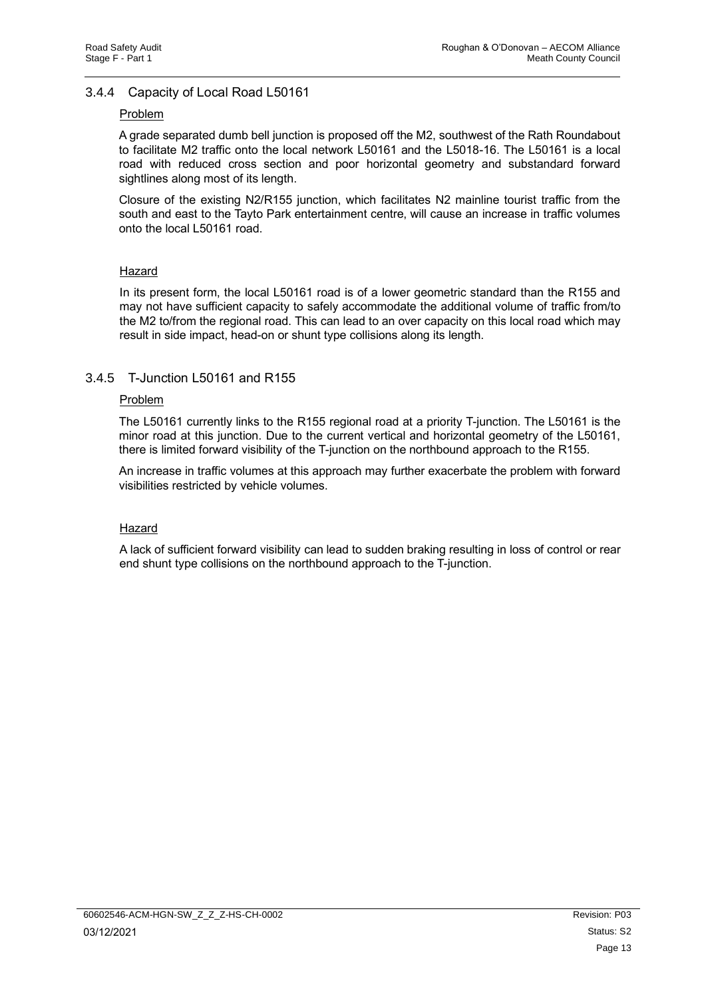#### 3.4.4 Capacity of Local Road L50161

#### Problem

A grade separated dumb bell junction is proposed off the M2, southwest of the Rath Roundabout to facilitate M2 traffic onto the local network L50161 and the L5018-16. The L50161 is a local road with reduced cross section and poor horizontal geometry and substandard forward sightlines along most of its length.

Closure of the existing N2/R155 junction, which facilitates N2 mainline tourist traffic from the south and east to the Tayto Park entertainment centre, will cause an increase in traffic volumes onto the local L50161 road.

#### Hazard

In its present form, the local L50161 road is of a lower geometric standard than the R155 and may not have sufficient capacity to safely accommodate the additional volume of traffic from/to the M2 to/from the regional road. This can lead to an over capacity on this local road which may result in side impact, head-on or shunt type collisions along its length.

#### 3.4.5 T-Junction L50161 and R155

#### Problem

The L50161 currently links to the R155 regional road at a priority T-junction. The L50161 is the minor road at this junction. Due to the current vertical and horizontal geometry of the L50161, there is limited forward visibility of the T-junction on the northbound approach to the R155.

An increase in traffic volumes at this approach may further exacerbate the problem with forward visibilities restricted by vehicle volumes.

#### Hazard

A lack of sufficient forward visibility can lead to sudden braking resulting in loss of control or rear end shunt type collisions on the northbound approach to the T-junction.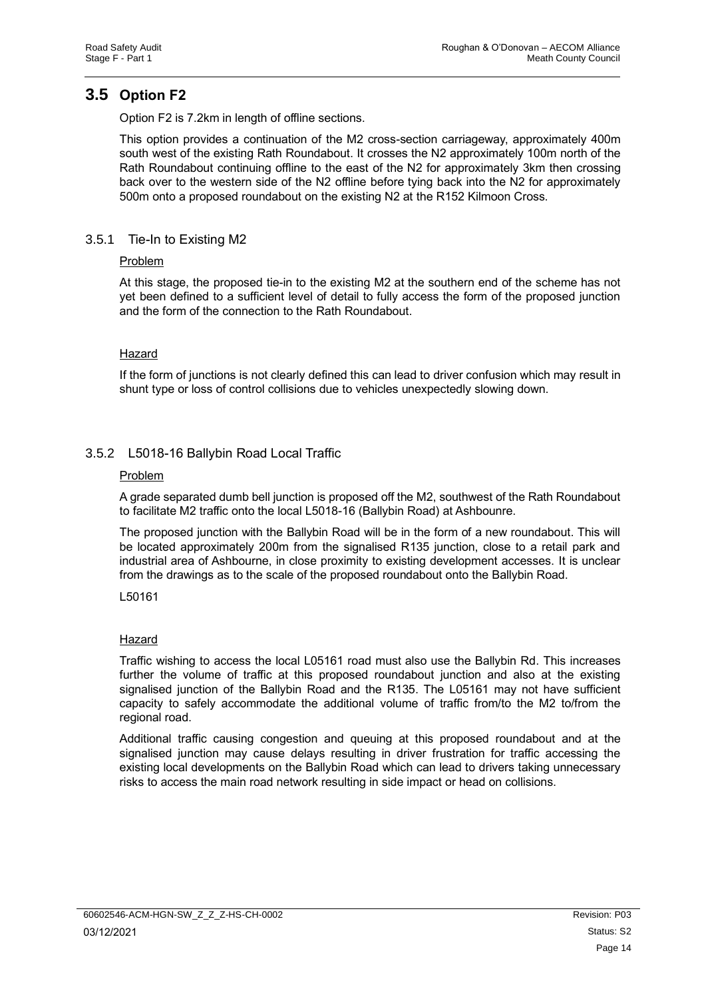### **3.5 Option F2**

Option F2 is 7.2km in length of offline sections.

This option provides a continuation of the M2 cross-section carriageway, approximately 400m south west of the existing Rath Roundabout. It crosses the N2 approximately 100m north of the Rath Roundabout continuing offline to the east of the N2 for approximately 3km then crossing back over to the western side of the N2 offline before tying back into the N2 for approximately 500m onto a proposed roundabout on the existing N2 at the R152 Kilmoon Cross.

#### 3.5.1 Tie-In to Existing M2

#### Problem

At this stage, the proposed tie-in to the existing M2 at the southern end of the scheme has not yet been defined to a sufficient level of detail to fully access the form of the proposed junction and the form of the connection to the Rath Roundabout.

#### Hazard

If the form of junctions is not clearly defined this can lead to driver confusion which may result in shunt type or loss of control collisions due to vehicles unexpectedly slowing down.

#### 3.5.2 L5018-16 Ballybin Road Local Traffic

#### Problem

A grade separated dumb bell junction is proposed off the M2, southwest of the Rath Roundabout to facilitate M2 traffic onto the local L5018-16 (Ballybin Road) at Ashbounre.

The proposed junction with the Ballybin Road will be in the form of a new roundabout. This will be located approximately 200m from the signalised R135 junction, close to a retail park and industrial area of Ashbourne, in close proximity to existing development accesses. It is unclear from the drawings as to the scale of the proposed roundabout onto the Ballybin Road.

#### L50161

#### Hazard

Traffic wishing to access the local L05161 road must also use the Ballybin Rd. This increases further the volume of traffic at this proposed roundabout junction and also at the existing signalised junction of the Ballybin Road and the R135. The L05161 may not have sufficient capacity to safely accommodate the additional volume of traffic from/to the M2 to/from the regional road.

Additional traffic causing congestion and queuing at this proposed roundabout and at the signalised junction may cause delays resulting in driver frustration for traffic accessing the existing local developments on the Ballybin Road which can lead to drivers taking unnecessary risks to access the main road network resulting in side impact or head on collisions.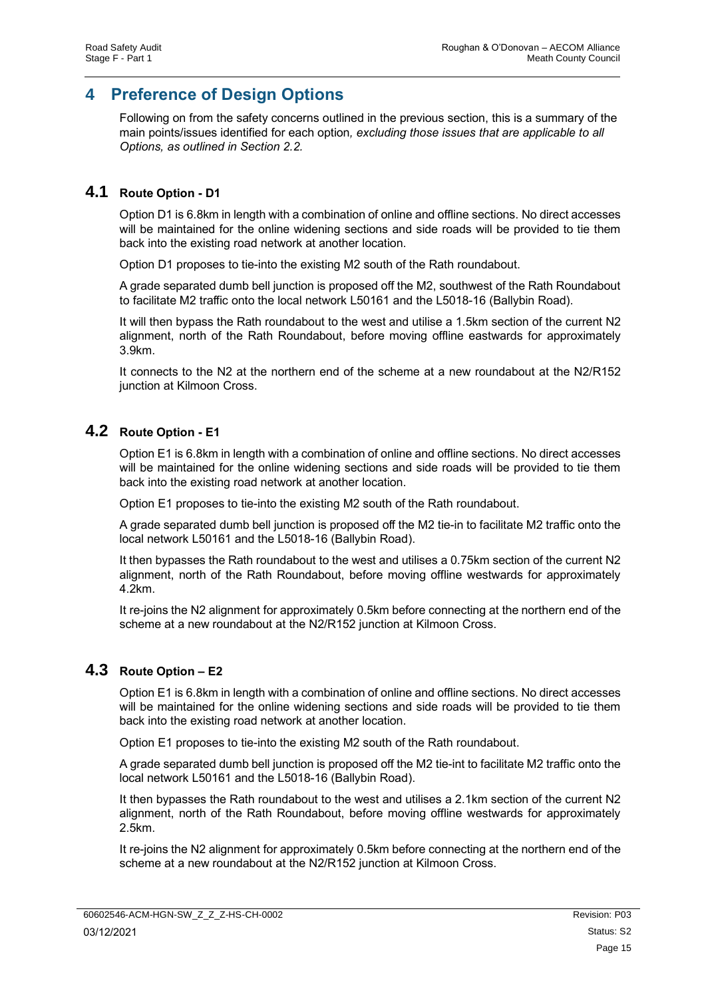### <span id="page-17-0"></span>**4 Preference of Design Options**

Following on from the safety concerns outlined in the previous section, this is a summary of the main points/issues identified for each option*, excluding those issues that are applicable to all Options, as outlined in Section 2.2.*

#### **4.1 Route Option - D1**

Option D1 is 6.8km in length with a combination of online and offline sections. No direct accesses will be maintained for the online widening sections and side roads will be provided to tie them back into the existing road network at another location.

Option D1 proposes to tie-into the existing M2 south of the Rath roundabout.

A grade separated dumb bell junction is proposed off the M2, southwest of the Rath Roundabout to facilitate M2 traffic onto the local network L50161 and the L5018-16 (Ballybin Road).

It will then bypass the Rath roundabout to the west and utilise a 1.5km section of the current N2 alignment, north of the Rath Roundabout, before moving offline eastwards for approximately 3.9km.

It connects to the N2 at the northern end of the scheme at a new roundabout at the N2/R152 junction at Kilmoon Cross.

#### **4.2 Route Option - E1**

Option E1 is 6.8km in length with a combination of online and offline sections. No direct accesses will be maintained for the online widening sections and side roads will be provided to tie them back into the existing road network at another location.

Option E1 proposes to tie-into the existing M2 south of the Rath roundabout.

A grade separated dumb bell junction is proposed off the M2 tie-in to facilitate M2 traffic onto the local network L50161 and the L5018-16 (Ballybin Road).

It then bypasses the Rath roundabout to the west and utilises a 0.75km section of the current N2 alignment, north of the Rath Roundabout, before moving offline westwards for approximately 4.2km.

It re-joins the N2 alignment for approximately 0.5km before connecting at the northern end of the scheme at a new roundabout at the N2/R152 junction at Kilmoon Cross.

### **4.3 Route Option – E2**

Option E1 is 6.8km in length with a combination of online and offline sections. No direct accesses will be maintained for the online widening sections and side roads will be provided to tie them back into the existing road network at another location.

Option E1 proposes to tie-into the existing M2 south of the Rath roundabout.

A grade separated dumb bell junction is proposed off the M2 tie-int to facilitate M2 traffic onto the local network L50161 and the L5018-16 (Ballybin Road).

It then bypasses the Rath roundabout to the west and utilises a 2.1km section of the current N2 alignment, north of the Rath Roundabout, before moving offline westwards for approximately 2.5km.

It re-joins the N2 alignment for approximately 0.5km before connecting at the northern end of the scheme at a new roundabout at the N2/R152 junction at Kilmoon Cross.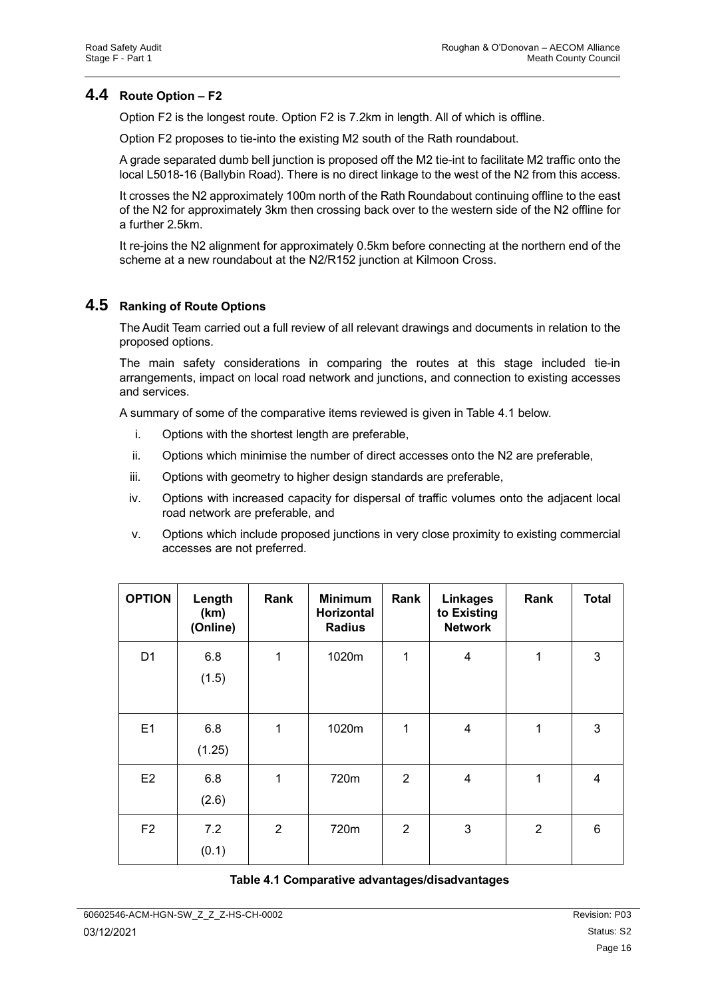#### **4.4 Route Option – F2**

Option F2 is the longest route. Option F2 is 7.2km in length. All of which is offline.

Option F2 proposes to tie-into the existing M2 south of the Rath roundabout.

A grade separated dumb bell junction is proposed off the M2 tie-int to facilitate M2 traffic onto the local L5018-16 (Ballybin Road). There is no direct linkage to the west of the N2 from this access.

It crosses the N2 approximately 100m north of the Rath Roundabout continuing offline to the east of the N2 for approximately 3km then crossing back over to the western side of the N2 offline for a further 2.5km.

It re-joins the N2 alignment for approximately 0.5km before connecting at the northern end of the scheme at a new roundabout at the N2/R152 junction at Kilmoon Cross.

#### **4.5 Ranking of Route Options**

The Audit Team carried out a full review of all relevant drawings and documents in relation to the proposed options.

The main safety considerations in comparing the routes at this stage included tie-in arrangements, impact on local road network and junctions, and connection to existing accesses and services.

A summary of some of the comparative items reviewed is given in Table 4.1 below.

- i. Options with the shortest length are preferable,
- ii. Options which minimise the number of direct accesses onto the N2 are preferable,
- iii. Options with geometry to higher design standards are preferable,
- iv. Options with increased capacity for dispersal of traffic volumes onto the adjacent local road network are preferable, and
- v. Options which include proposed junctions in very close proximity to existing commercial accesses are not preferred.

| <b>OPTION</b>  | Length<br>(km)<br>(Online) | Rank           | <b>Minimum</b><br>Horizontal<br><b>Radius</b> | Rank           | <b>Linkages</b><br>to Existing<br><b>Network</b> | Rank           | <b>Total</b>            |
|----------------|----------------------------|----------------|-----------------------------------------------|----------------|--------------------------------------------------|----------------|-------------------------|
| D <sub>1</sub> | 6.8<br>(1.5)               | $\mathbf 1$    | 1020m                                         | 1              | 4                                                | $\mathbf 1$    | $\mathfrak{S}$          |
| E1             | 6.8<br>(1.25)              | 1              | 1020m                                         | 1              | 4                                                | $\mathbf{1}$   | $\mathfrak{B}$          |
| E <sub>2</sub> | 6.8<br>(2.6)               | 1              | 720m                                          | 2              | 4                                                | 1              | $\overline{\mathbf{4}}$ |
| F <sub>2</sub> | 7.2<br>(0.1)               | $\overline{2}$ | 720m                                          | $\overline{2}$ | 3                                                | $\overline{2}$ | $6\phantom{1}6$         |

#### **Table 4.1 Comparative advantages/disadvantages**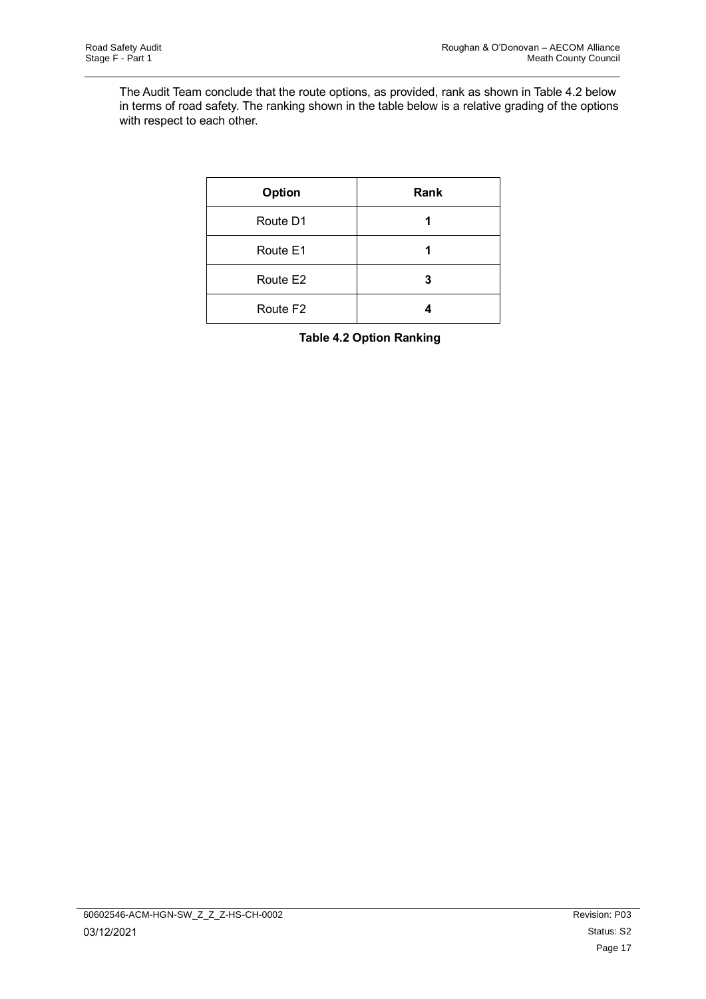The Audit Team conclude that the route options, as provided, rank as shown in Table 4.2 below in terms of road safety. The ranking shown in the table below is a relative grading of the options with respect to each other.

| Option               | Rank |
|----------------------|------|
| Route D1             |      |
| Route E1             |      |
| Route E2             | 3    |
| Route F <sub>2</sub> |      |

**Table 4.2 Option Ranking**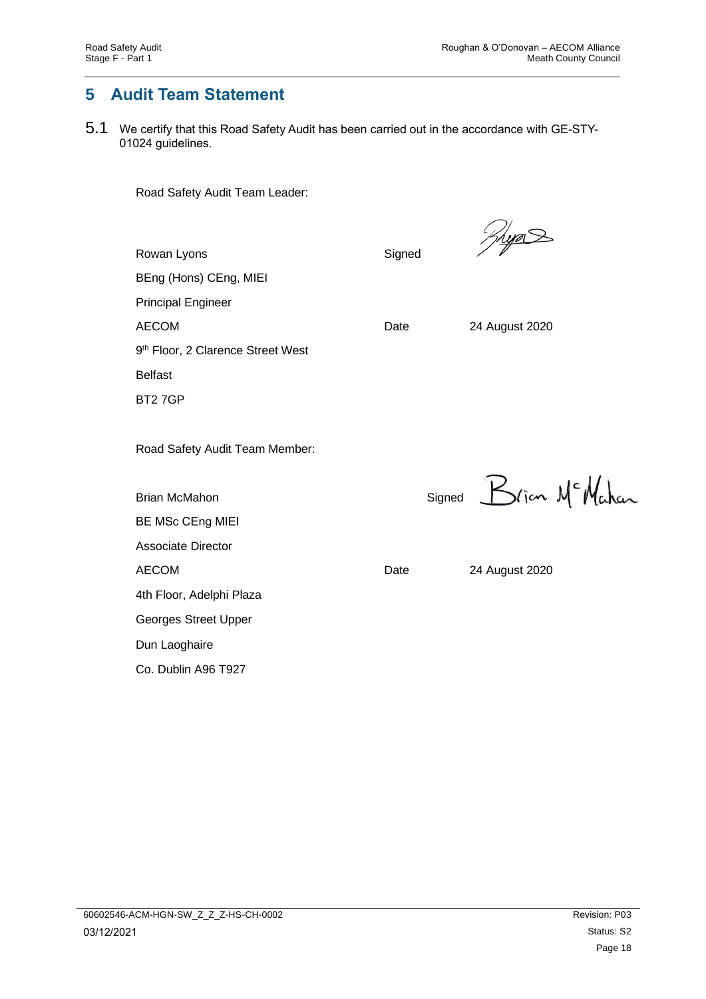### <span id="page-20-0"></span>**5 Audit Team Statement**

5.1 We certify that this Road Safety Audit has been carried out in the accordance with GE-STY-01024 guidelines.

Road Safety Audit Team Leader:

| Rowan Lyons                                   | Signed |                          |  |
|-----------------------------------------------|--------|--------------------------|--|
| BEng (Hons) CEng, MIEI                        |        |                          |  |
| <b>Principal Engineer</b>                     |        |                          |  |
| <b>AECOM</b>                                  | Date   | 24 August 2020           |  |
| 9 <sup>th</sup> Floor, 2 Clarence Street West |        |                          |  |
| <b>Belfast</b>                                |        |                          |  |
| BT27GP                                        |        |                          |  |
|                                               |        |                          |  |
| Road Safety Audit Team Member:                |        |                          |  |
|                                               |        |                          |  |
| <b>Brian McMahon</b>                          |        | Brian Mc Mahan<br>Signed |  |
| <b>BE MSc CEng MIEI</b>                       |        |                          |  |
| <b>Associate Director</b>                     |        |                          |  |
| <b>AECOM</b>                                  | Date   | 24 August 2020           |  |
| 4th Floor, Adelphi Plaza                      |        |                          |  |
| Georges Street Upper                          |        |                          |  |
| Dun Laoghaire                                 |        |                          |  |
| Co. Dublin A96 T927                           |        |                          |  |